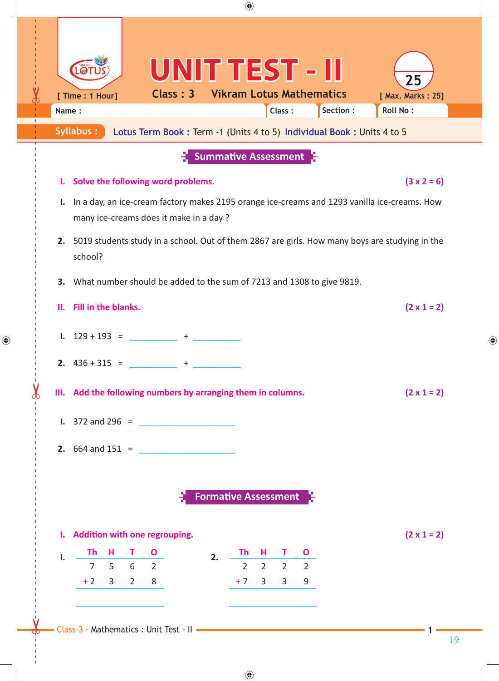